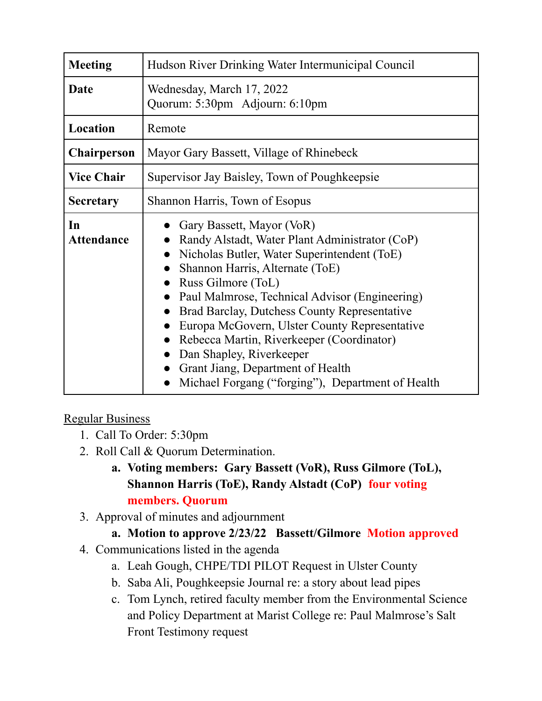| <b>Meeting</b>          | Hudson River Drinking Water Intermunicipal Council                                                                                                                                                                                                                                                                                                                                                                                                                                                        |
|-------------------------|-----------------------------------------------------------------------------------------------------------------------------------------------------------------------------------------------------------------------------------------------------------------------------------------------------------------------------------------------------------------------------------------------------------------------------------------------------------------------------------------------------------|
| Date                    | Wednesday, March 17, 2022<br>Quorum: 5:30pm Adjourn: 6:10pm                                                                                                                                                                                                                                                                                                                                                                                                                                               |
| Location                | Remote                                                                                                                                                                                                                                                                                                                                                                                                                                                                                                    |
| <b>Chairperson</b>      | Mayor Gary Bassett, Village of Rhinebeck                                                                                                                                                                                                                                                                                                                                                                                                                                                                  |
| <b>Vice Chair</b>       | Supervisor Jay Baisley, Town of Poughkeepsie                                                                                                                                                                                                                                                                                                                                                                                                                                                              |
| <b>Secretary</b>        | Shannon Harris, Town of Esopus                                                                                                                                                                                                                                                                                                                                                                                                                                                                            |
| In<br><b>Attendance</b> | Gary Bassett, Mayor (VoR)<br>Randy Alstadt, Water Plant Administrator (CoP)<br>Nicholas Butler, Water Superintendent (ToE)<br>Shannon Harris, Alternate (ToE)<br>Russ Gilmore (ToL)<br>Paul Malmrose, Technical Advisor (Engineering)<br>Brad Barclay, Dutchess County Representative<br>Europa McGovern, Ulster County Representative<br>Rebecca Martin, Riverkeeper (Coordinator)<br>Dan Shapley, Riverkeeper<br>Grant Jiang, Department of Health<br>Michael Forgang ("forging"), Department of Health |

## Regular Business

- 1. Call To Order: 5:30pm
- 2. Roll Call & Quorum Determination.
	- **a. Voting members: Gary Bassett (VoR), Russ Gilmore (ToL), Shannon Harris (ToE), Randy Alstadt (CoP) four voting members. Quorum**
- 3. Approval of minutes and adjournment

## **a. Motion to approve 2/23/22 Bassett/Gilmore Motion approved**

- 4. Communications listed in the agenda
	- a. Leah Gough, CHPE/TDI PILOT Request in Ulster County
	- b. Saba Ali, Poughkeepsie Journal re: a story about lead pipes
	- c. Tom Lynch, retired faculty member from the Environmental Science and Policy Department at Marist College re: Paul Malmrose's Salt Front Testimony request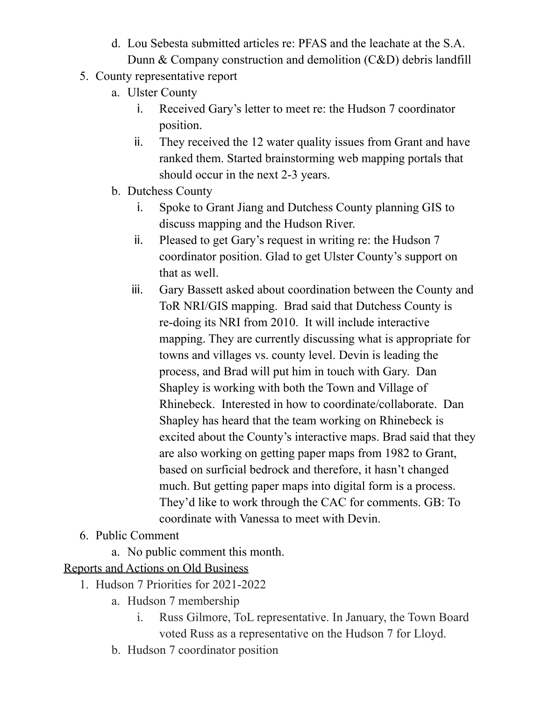- d. Lou Sebesta submitted articles re: PFAS and the leachate at the S.A. Dunn & Company construction and demolition (C&D) debris landfill
- 5. County representative report
	- a. Ulster County
		- i. Received Gary's letter to meet re: the Hudson 7 coordinator position.
		- ii. They received the 12 water quality issues from Grant and have ranked them. Started brainstorming web mapping portals that should occur in the next 2-3 years.
	- b. Dutchess County
		- i. Spoke to Grant Jiang and Dutchess County planning GIS to discuss mapping and the Hudson River.
		- ii. Pleased to get Gary's request in writing re: the Hudson 7 coordinator position. Glad to get Ulster County's support on that as well.
		- iii. Gary Bassett asked about coordination between the County and ToR NRI/GIS mapping. Brad said that Dutchess County is re-doing its NRI from 2010. It will include interactive mapping. They are currently discussing what is appropriate for towns and villages vs. county level. Devin is leading the process, and Brad will put him in touch with Gary. Dan Shapley is working with both the Town and Village of Rhinebeck. Interested in how to coordinate/collaborate. Dan Shapley has heard that the team working on Rhinebeck is excited about the County's interactive maps. Brad said that they are also working on getting paper maps from 1982 to Grant, based on surficial bedrock and therefore, it hasn't changed much. But getting paper maps into digital form is a process. They'd like to work through the CAC for comments. GB: To coordinate with Vanessa to meet with Devin.
- 6. Public Comment
	- a. No public comment this month.

## Reports and Actions on Old Business

- 1. Hudson 7 Priorities for 2021-2022
	- a. Hudson 7 membership
		- i. Russ Gilmore, ToL representative. In January, the Town Board voted Russ as a representative on the Hudson 7 for Lloyd.
	- b. Hudson 7 coordinator position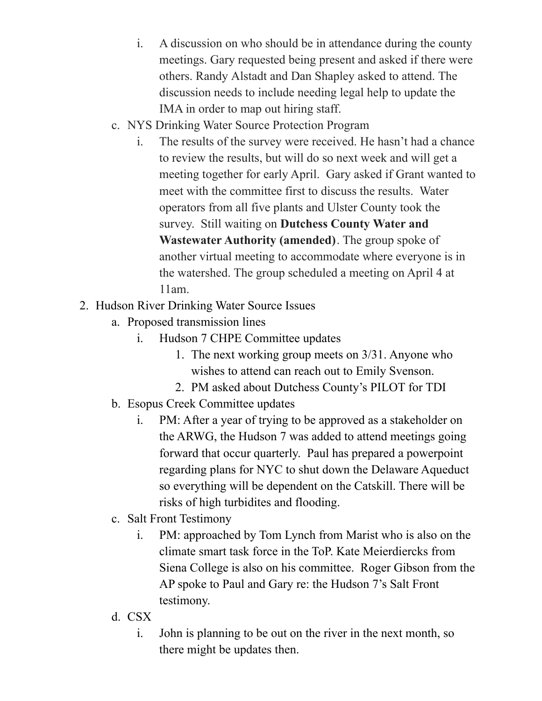- i. A discussion on who should be in attendance during the county meetings. Gary requested being present and asked if there were others. Randy Alstadt and Dan Shapley asked to attend. The discussion needs to include needing legal help to update the IMA in order to map out hiring staff.
- c. NYS Drinking Water Source Protection Program
	- i. The results of the survey were received. He hasn't had a chance to review the results, but will do so next week and will get a meeting together for early April. Gary asked if Grant wanted to meet with the committee first to discuss the results. Water operators from all five plants and Ulster County took the survey. Still waiting on **Dutchess County Water and Wastewater Authority (amended)**. The group spoke of another virtual meeting to accommodate where everyone is in the watershed. The group scheduled a meeting on April 4 at 11am.
- 2. Hudson River Drinking Water Source Issues
	- a. Proposed transmission lines
		- i. Hudson 7 CHPE Committee updates
			- 1. The next working group meets on 3/31. Anyone who wishes to attend can reach out to Emily Svenson.
			- 2. PM asked about Dutchess County's PILOT for TDI
	- b. Esopus Creek Committee updates
		- i. PM: After a year of trying to be approved as a stakeholder on the ARWG, the Hudson 7 was added to attend meetings going forward that occur quarterly. Paul has prepared a powerpoint regarding plans for NYC to shut down the Delaware Aqueduct so everything will be dependent on the Catskill. There will be risks of high turbidites and flooding.
	- c. Salt Front Testimony
		- i. PM: approached by Tom Lynch from Marist who is also on the climate smart task force in the ToP. Kate Meierdiercks from Siena College is also on his committee. Roger Gibson from the AP spoke to Paul and Gary re: the Hudson 7's Salt Front testimony.
	- d. CSX
		- i. John is planning to be out on the river in the next month, so there might be updates then.